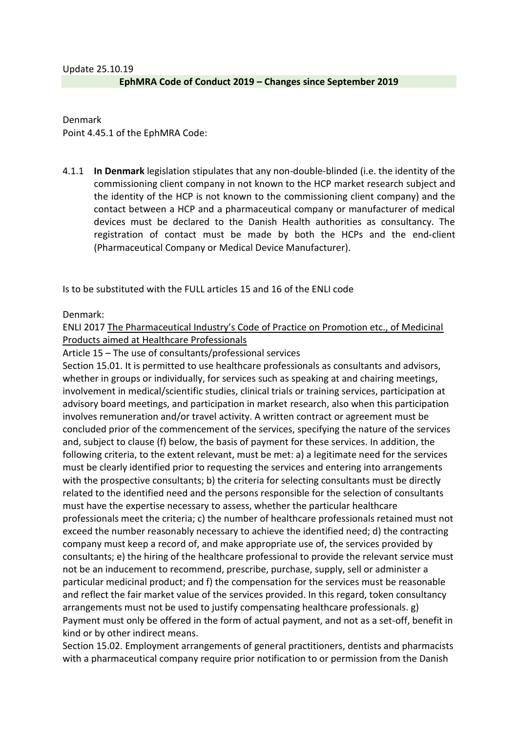Denmark Point 4.45.1 of the EphMRA Code:

4.1.1 **In Denmark** legislation stipulates that any non-double-blinded (i.e. the identity of the commissioning client company in not known to the HCP market research subject and the identity of the HCP is not known to the commissioning client company) and the contact between a HCP and a pharmaceutical company or manufacturer of medical devices must be declared to the Danish Health authorities as consultancy. The registration of contact must be made by both the HCPs and the end-client (Pharmaceutical Company or Medical Device Manufacturer).

Is to be substituted with the FULL articles 15 and 16 of the ENLI code

Denmark:

ENLI 2017 The [Pharmaceutical Industry's Code of Practice on Promotion etc., of Medicinal](http://www.enli.dk/media/49585/enli_ethical-rules-for-promotion-of-medicinal-products-towards-healthcare-professionals-uk-version-2-1-clean.pdf)  [Products aimed at Healthcare Professionals](http://www.enli.dk/media/49585/enli_ethical-rules-for-promotion-of-medicinal-products-towards-healthcare-professionals-uk-version-2-1-clean.pdf)

Article 15 – The use of consultants/professional services

Section 15.01. It is permitted to use healthcare professionals as consultants and advisors, whether in groups or individually, for services such as speaking at and chairing meetings, involvement in medical/scientific studies, clinical trials or training services, participation at advisory board meetings, and participation in market research, also when this participation involves remuneration and/or travel activity. A written contract or agreement must be concluded prior of the commencement of the services, specifying the nature of the services and, subject to clause (f) below, the basis of payment for these services. In addition, the following criteria, to the extent relevant, must be met: a) a legitimate need for the services must be clearly identified prior to requesting the services and entering into arrangements with the prospective consultants; b) the criteria for selecting consultants must be directly related to the identified need and the persons responsible for the selection of consultants must have the expertise necessary to assess, whether the particular healthcare professionals meet the criteria; c) the number of healthcare professionals retained must not exceed the number reasonably necessary to achieve the identified need; d) the contracting company must keep a record of, and make appropriate use of, the services provided by consultants; e) the hiring of the healthcare professional to provide the relevant service must not be an inducement to recommend, prescribe, purchase, supply, sell or administer a particular medicinal product; and f) the compensation for the services must be reasonable and reflect the fair market value of the services provided. In this regard, token consultancy arrangements must not be used to justify compensating healthcare professionals. g) Payment must only be offered in the form of actual payment, and not as a set-off, benefit in kind or by other indirect means.

Section 15.02. Employment arrangements of general practitioners, dentists and pharmacists with a pharmaceutical company require prior notification to or permission from the Danish